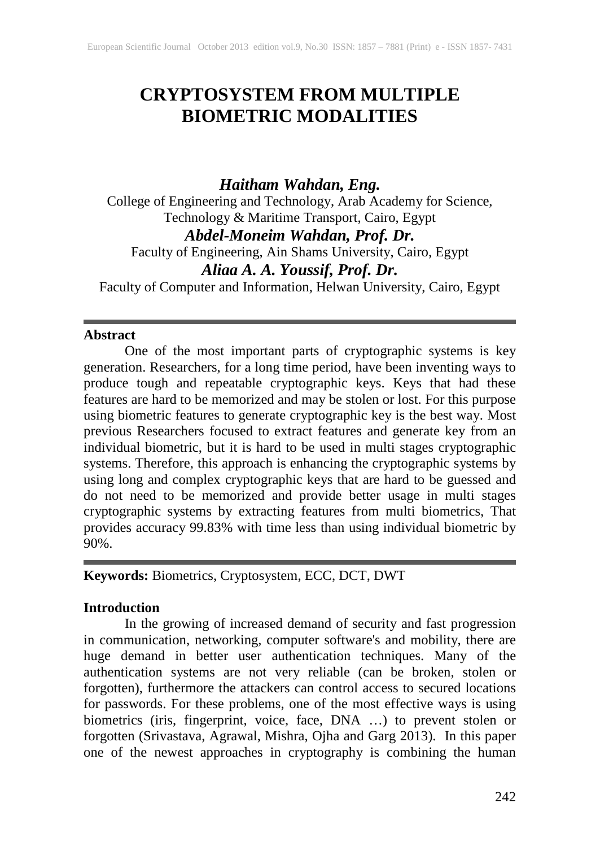# **CRYPTOSYSTEM FROM MULTIPLE BIOMETRIC MODALITIES**

# *Haitham Wahdan, Eng.*

College of Engineering and Technology, Arab Academy for Science, Technology & Maritime Transport, Cairo, Egypt *Abdel-Moneim Wahdan, Prof. Dr.* Faculty of Engineering, Ain Shams University, Cairo, Egypt *Aliaa A. A. Youssif, Prof. Dr.*

Faculty of Computer and Information, Helwan University, Cairo, Egypt

# **Abstract**

One of the most important parts of cryptographic systems is key generation. Researchers, for a long time period, have been inventing ways to produce tough and repeatable cryptographic keys. Keys that had these features are hard to be memorized and may be stolen or lost. For this purpose using biometric features to generate cryptographic key is the best way. Most previous Researchers focused to extract features and generate key from an individual biometric, but it is hard to be used in multi stages cryptographic systems. Therefore, this approach is enhancing the cryptographic systems by using long and complex cryptographic keys that are hard to be guessed and do not need to be memorized and provide better usage in multi stages cryptographic systems by extracting features from multi biometrics, That provides accuracy 99.83% with time less than using individual biometric by 90%.

# **Keywords:** Biometrics, Cryptosystem, ECC, DCT, DWT

# **Introduction**

In the growing of increased demand of security and fast progression in communication, networking, computer software's and mobility, there are huge demand in better user authentication techniques. Many of the authentication systems are not very reliable (can be broken, stolen or forgotten), furthermore the attackers can control access to secured locations for passwords. For these problems, one of the most effective ways is using biometrics (iris, fingerprint, voice, face, DNA …) to prevent stolen or forgotten (Srivastava, Agrawal, Mishra, Ojha and Garg 2013). In this paper one of the newest approaches in cryptography is combining the human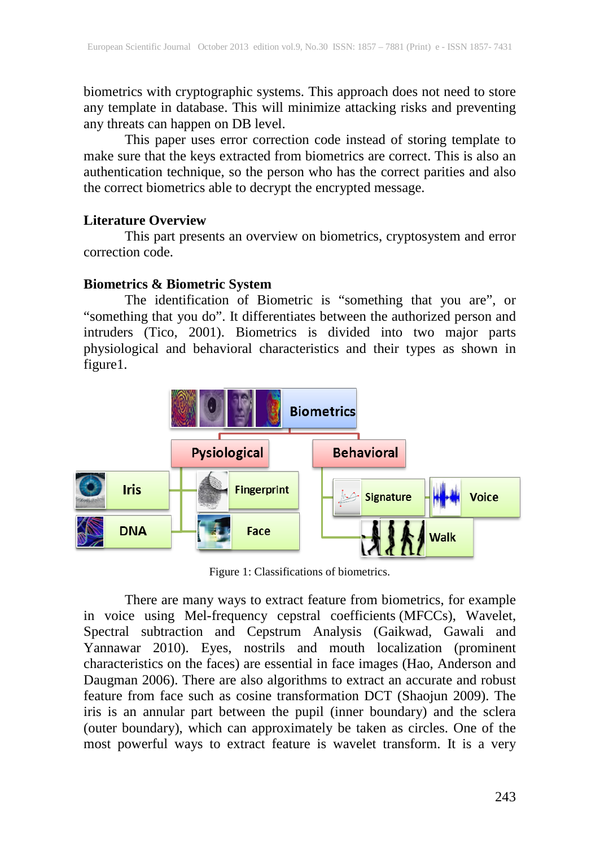biometrics with cryptographic systems. This approach does not need to store any template in database. This will minimize attacking risks and preventing any threats can happen on DB level.

This paper uses error correction code instead of storing template to make sure that the keys extracted from biometrics are correct. This is also an authentication technique, so the person who has the correct parities and also the correct biometrics able to decrypt the encrypted message.

### **Literature Overview**

This part presents an overview on biometrics, cryptosystem and error correction code.

### **Biometrics & Biometric System**

The identification of Biometric is "something that you are", or "something that you do". It differentiates between the authorized person and intruders (Tico, 2001). Biometrics is divided into two major parts physiological and behavioral characteristics and their types as shown in figure1.



Figure 1: Classifications of biometrics.

There are many ways to extract feature from biometrics, for example in voice using Mel-frequency cepstral coefficients (MFCCs), Wavelet, Spectral subtraction and Cepstrum Analysis (Gaikwad, Gawali and Yannawar 2010). Eyes, nostrils and mouth localization (prominent characteristics on the faces) are essential in face images (Hao, Anderson and Daugman 2006). There are also algorithms to extract an accurate and robust feature from face such as cosine transformation DCT (Shaojun 2009). The iris is an annular part between the pupil (inner boundary) and the sclera (outer boundary), which can approximately be taken as circles. One of the most powerful ways to extract feature is wavelet transform. It is a very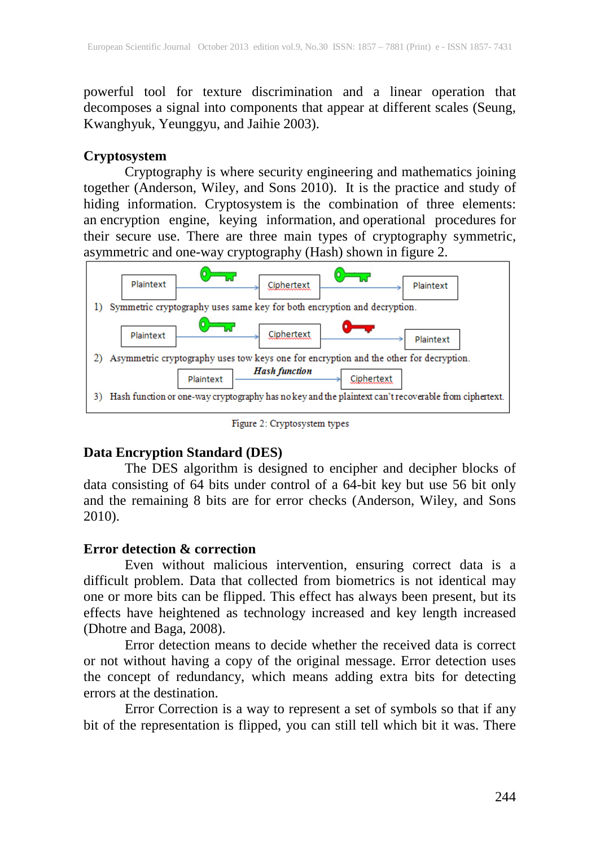powerful tool for texture discrimination and a linear operation that decomposes a signal into components that appear at different scales (Seung, Kwanghyuk, Yeunggyu, and Jaihie 2003).

# **Cryptosystem**

Cryptography is where security engineering and mathematics joining together (Anderson, Wiley, and Sons 2010). It is the practice and study of hiding information. Cryptosystem is the combination of three elements: an encryption engine, keying information, and operational procedures for their secure use. There are three main types of cryptography symmetric, asymmetric and one-way cryptography (Hash) shown in figure 2.



Figure 2: Cryptosystem types

# **Data Encryption Standard (DES)**

The DES algorithm is designed to encipher and decipher blocks of data consisting of 64 bits under control of a 64-bit key but use 56 bit only and the remaining 8 bits are for error checks (Anderson, Wiley, and Sons 2010).

# **Error detection & correction**

Even without malicious intervention, ensuring correct data is a difficult problem. Data that collected from biometrics is not identical may one or more bits can be flipped. This effect has always been present, but its effects have heightened as technology increased and key length increased (Dhotre and Baga, 2008).

Error detection means to decide whether the received data is correct or not without having a copy of the original message. Error detection uses the concept of redundancy, which means adding extra bits for detecting errors at the destination.

Error Correction is a way to represent a set of symbols so that if any bit of the representation is flipped, you can still tell which bit it was. There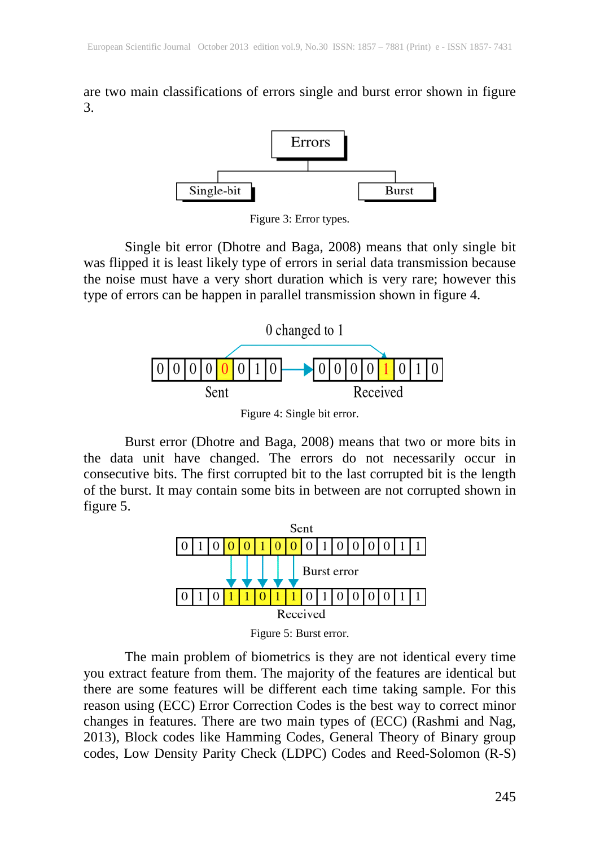are two main classifications of errors single and burst error shown in figure 3.



Figure 3: Error types.

Single bit error (Dhotre and Baga, 2008) means that only single bit was flipped it is least likely type of errors in serial data transmission because the noise must have a very short duration which is very rare; however this type of errors can be happen in parallel transmission shown in figure 4.



Figure 4: Single bit error.

Burst error (Dhotre and Baga, 2008) means that two or more bits in the data unit have changed. The errors do not necessarily occur in consecutive bits. The first corrupted bit to the last corrupted bit is the length of the burst. It may contain some bits in between are not corrupted shown in figure 5.



Figure 5: Burst error.

The main problem of biometrics is they are not identical every time you extract feature from them. The majority of the features are identical but there are some features will be different each time taking sample. For this reason using (ECC) Error Correction Codes is the best way to correct minor changes in features. There are two main types of (ECC) (Rashmi and Nag, 2013), Block codes like Hamming Codes, General Theory of Binary group codes, Low Density Parity Check (LDPC) Codes and Reed-Solomon (R-S)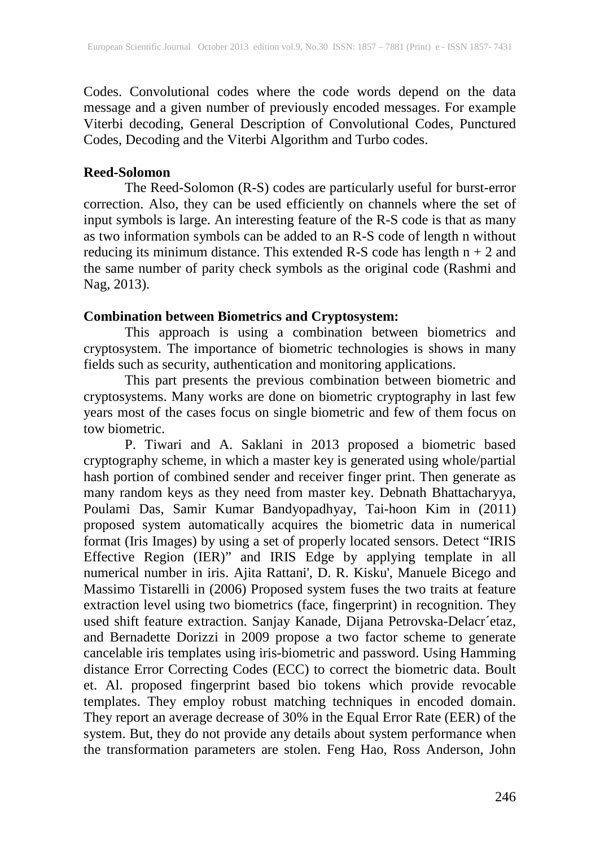Codes. Convolutional codes where the code words depend on the data message and a given number of previously encoded messages. For example Viterbi decoding, General Description of Convolutional Codes, Punctured Codes, Decoding and the Viterbi Algorithm and Turbo codes.

#### **Reed-Solomon**

The Reed-Solomon (R-S) codes are particularly useful for burst-error correction. Also, they can be used efficiently on channels where the set of input symbols is large. An interesting feature of the R-S code is that as many as two information symbols can be added to an R-S code of length n without reducing its minimum distance. This extended R-S code has length n + 2 and the same number of parity check symbols as the original code (Rashmi and Nag, 2013).

# **Combination between Biometrics and Cryptosystem:**

This approach is using a combination between biometrics and cryptosystem. The importance of biometric technologies is shows in many fields such as security, authentication and monitoring applications.

This part presents the previous combination between biometric and cryptosystems. Many works are done on biometric cryptography in last few years most of the cases focus on single biometric and few of them focus on tow biometric.

P. Tiwari and A. Saklani in 2013 proposed a biometric based cryptography scheme, in which a master key is generated using whole/partial hash portion of combined sender and receiver finger print. Then generate as many random keys as they need from master key. Debnath Bhattacharyya, Poulami Das, Samir Kumar Bandyopadhyay, Tai-hoon Kim in (2011) proposed system automatically acquires the biometric data in numerical format (Iris Images) by using a set of properly located sensors. Detect "IRIS Effective Region (IER)" and IRIS Edge by applying template in all numerical number in iris. Ajita Rattani', D. R. Kisku', Manuele Bicego and Massimo Tistarelli in (2006) Proposed system fuses the two traits at feature extraction level using two biometrics (face, fingerprint) in recognition. They used shift feature extraction. Sanjay Kanade, Dijana Petrovska-Delacr´etaz, and Bernadette Dorizzi in 2009 propose a two factor scheme to generate cancelable iris templates using iris-biometric and password. Using Hamming distance Error Correcting Codes (ECC) to correct the biometric data. Boult et. Al. proposed fingerprint based bio tokens which provide revocable templates. They employ robust matching techniques in encoded domain. They report an average decrease of 30% in the Equal Error Rate (EER) of the system. But, they do not provide any details about system performance when the transformation parameters are stolen. Feng Hao, Ross Anderson, John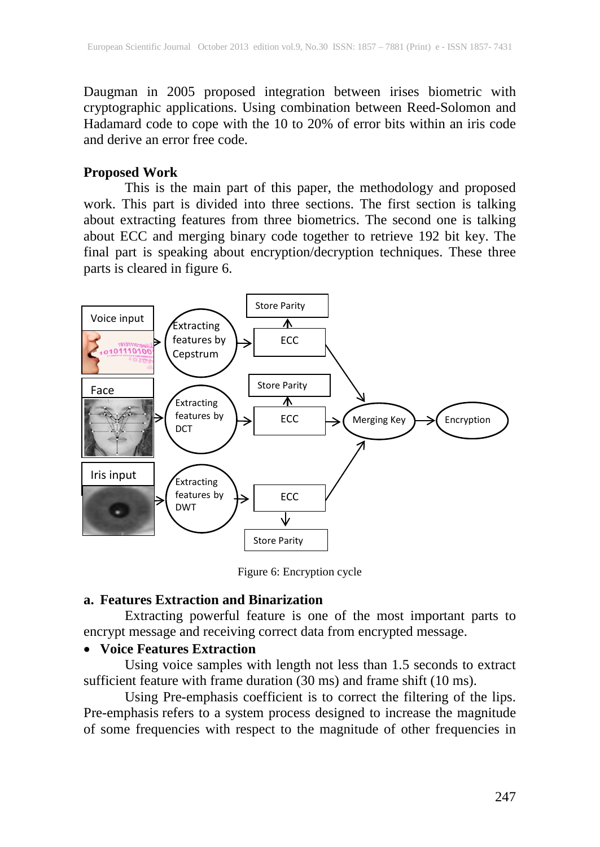Daugman in 2005 proposed integration between irises biometric with cryptographic applications. Using combination between Reed-Solomon and Hadamard code to cope with the 10 to 20% of error bits within an iris code and derive an error free code.

#### **Proposed Work**

This is the main part of this paper, the methodology and proposed work. This part is divided into three sections. The first section is talking about extracting features from three biometrics. The second one is talking about ECC and merging binary code together to retrieve 192 bit key. The final part is speaking about encryption/decryption techniques. These three parts is cleared in figure 6.



Figure 6: Encryption cycle

#### **a. Features Extraction and Binarization**

Extracting powerful feature is one of the most important parts to encrypt message and receiving correct data from encrypted message.

#### • **Voice Features Extraction**

Using voice samples with length not less than 1.5 seconds to extract sufficient feature with frame duration (30 ms) and frame shift (10 ms).

Using Pre-emphasis coefficient is to correct the filtering of the lips. Pre-emphasis refers to a system process designed to increase the magnitude of some frequencies with respect to the magnitude of other frequencies in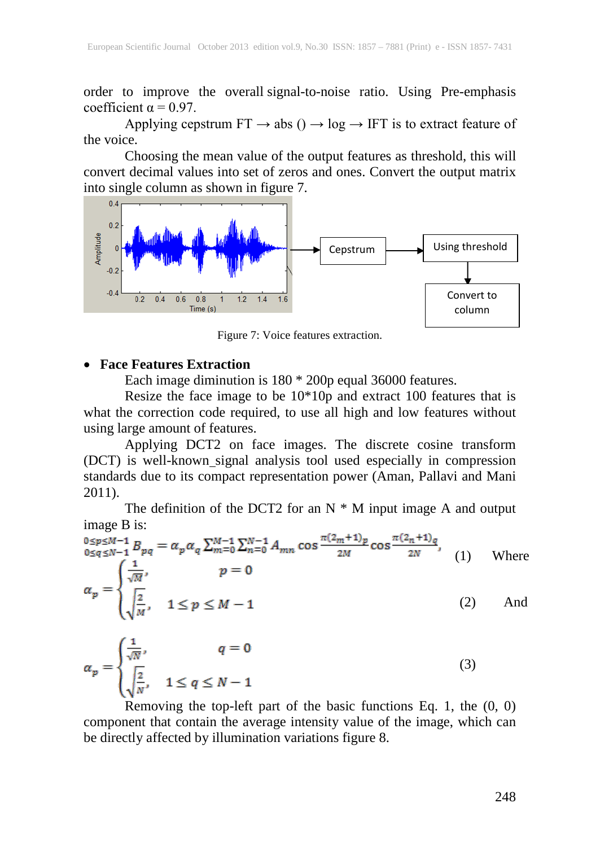order to improve the overall signal-to-noise ratio. Using Pre-emphasis coefficient  $\alpha$  = 0.97.

Applying cepstrum  $FT \rightarrow abs$  ()  $\rightarrow log \rightarrow IFT$  is to extract feature of the voice.

Choosing the mean value of the output features as threshold, this will convert decimal values into set of zeros and ones. Convert the output matrix into single column as shown in figure 7.



Figure 7: Voice features extraction.

#### • **Face Features Extraction**

Each image diminution is 180 \* 200p equal 36000 features.

Resize the face image to be 10\*10p and extract 100 features that is what the correction code required, to use all high and low features without using large amount of features.

Applying DCT2 on face images. The discrete cosine transform (DCT) is well-known signal analysis tool used especially in compression standards due to its compact representation power (Aman, Pallavi and Mani 2011).

The definition of the DCT2 for an  $N * M$  input image A and output image B is:

 $\alpha_p = \begin{cases} \frac{1}{\sqrt{M}} & n = 0, \ 0 \leq q \leq N-1 \ B_{pq} = \alpha_p \alpha_q \sum_{m=0}^{M-1} \sum_{n=0}^{N-1} A_{mn} \cos \frac{\pi (2_m+1)_p}{2M} \cos \frac{\pi (2_n+1)_q}{2N}, \\ \alpha_p = \begin{cases} \frac{1}{\sqrt{M}}, & p = 0 \\ \frac{2}{\sqrt{M}}, & 1 \leq p \leq M-1 \end{cases} \end{cases}$ (1) Where (2) And

$$
\alpha_p = \begin{cases} \frac{1}{\sqrt{N}}, & q = 0\\ \sqrt{\frac{2}{N}}, & 1 \le q \le N - 1 \end{cases}
$$
\n(3)

Removing the top-left part of the basic functions Eq. 1, the (0, 0) component that contain the average intensity value of the image, which can be directly affected by illumination variations figure 8.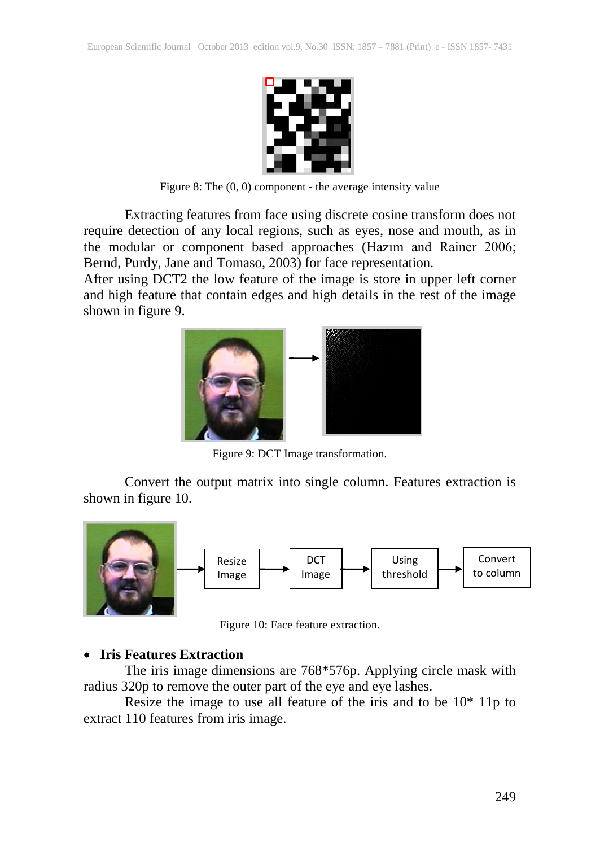

Figure 8: The (0, 0) component - the average intensity value

Extracting features from face using discrete cosine transform does not require detection of any local regions, such as eyes, nose and mouth, as in the modular or component based approaches (Hazım and Rainer 2006; Bernd, Purdy, Jane and Tomaso, 2003) for face representation.

After using DCT2 the low feature of the image is store in upper left corner and high feature that contain edges and high details in the rest of the image shown in figure 9.



Figure 9: DCT Image transformation.

Convert the output matrix into single column. Features extraction is shown in figure 10.



Figure 10: Face feature extraction.

# • **Iris Features Extraction**

The iris image dimensions are 768\*576p. Applying circle mask with radius 320p to remove the outer part of the eye and eye lashes.

Resize the image to use all feature of the iris and to be 10\* 11p to extract 110 features from iris image.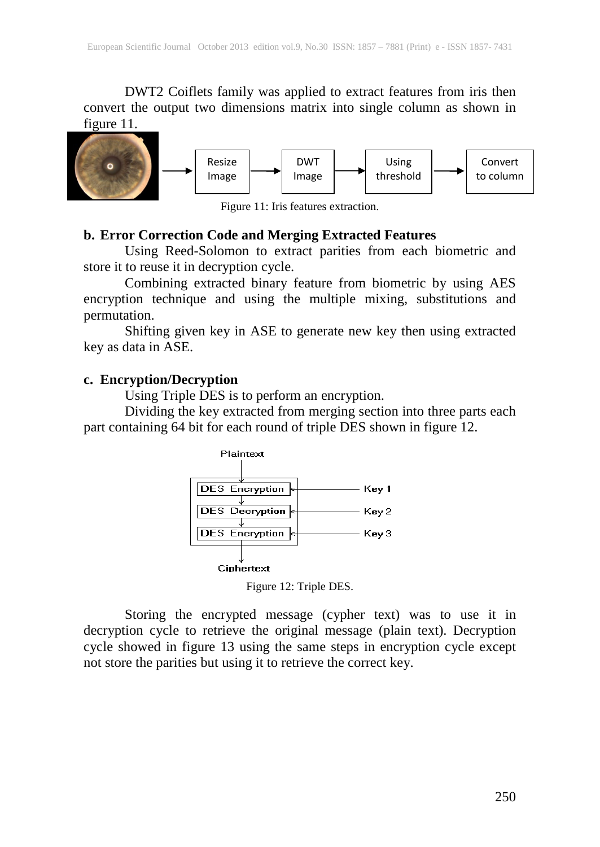DWT2 Coiflets family was applied to extract features from iris then convert the output two dimensions matrix into single column as shown in figure 11.



Figure 11: Iris features extraction.

#### **b. Error Correction Code and Merging Extracted Features**

Using Reed-Solomon to extract parities from each biometric and store it to reuse it in decryption cycle.

Combining extracted binary feature from biometric by using AES encryption technique and using the multiple mixing, substitutions and permutation.

Shifting given key in ASE to generate new key then using extracted key as data in ASE.

#### **c. Encryption/Decryption**

Using Triple DES is to perform an encryption.

Dividing the key extracted from merging section into three parts each part containing 64 bit for each round of triple DES shown in figure 12.



Figure 12: Triple DES.

Storing the encrypted message (cypher text) was to use it in decryption cycle to retrieve the original message (plain text). Decryption cycle showed in figure 13 using the same steps in encryption cycle except not store the parities but using it to retrieve the correct key.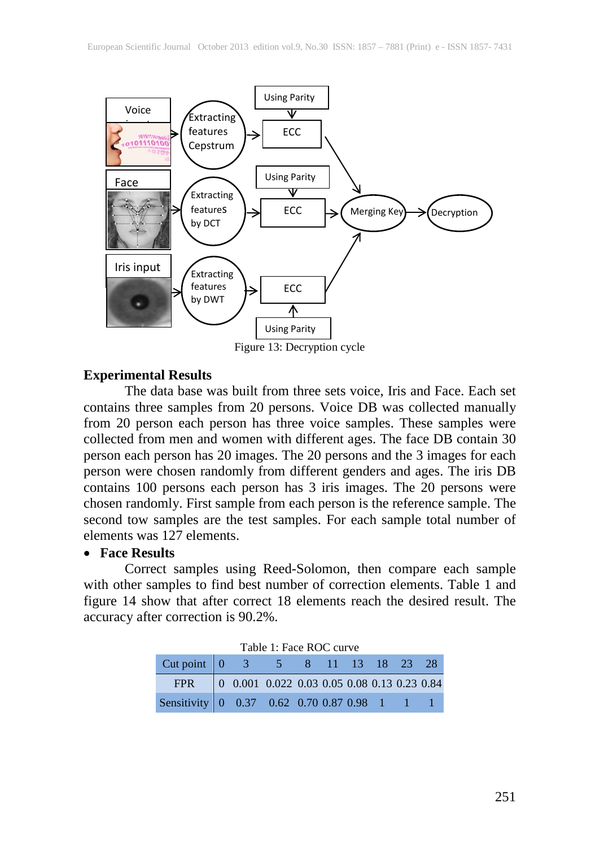

Figure 13: Decryption cycle

#### **Experimental Results**

The data base was built from three sets voice, Iris and Face. Each set contains three samples from 20 persons. Voice DB was collected manually from 20 person each person has three voice samples. These samples were collected from men and women with different ages. The face DB contain 30 person each person has 20 images. The 20 persons and the 3 images for each person were chosen randomly from different genders and ages. The iris DB contains 100 persons each person has 3 iris images. The 20 persons were chosen randomly. First sample from each person is the reference sample. The second tow samples are the test samples. For each sample total number of elements was 127 elements.

#### • **Face Results**

Correct samples using Reed-Solomon, then compare each sample with other samples to find best number of correction elements. Table 1 and figure 14 show that after correct 18 elements reach the desired result. The accuracy after correction is 90.2%.

| Table 1: Face ROC curve                                                                      |  |                                                                                             |  |  |  |  |  |  |  |  |
|----------------------------------------------------------------------------------------------|--|---------------------------------------------------------------------------------------------|--|--|--|--|--|--|--|--|
| Cut point 0 3 5 8 11 13 18 23 28                                                             |  |                                                                                             |  |  |  |  |  |  |  |  |
| FPR F                                                                                        |  | $\begin{bmatrix} 0 & 0.001 & 0.022 & 0.03 & 0.05 & 0.08 & 0.13 & 0.23 & 0.84 \end{bmatrix}$ |  |  |  |  |  |  |  |  |
| Sensitivity $\begin{bmatrix} 0 & 0.37 & 0.62 & 0.70 & 0.87 & 0.98 & 1 & 1 & 1 \end{bmatrix}$ |  |                                                                                             |  |  |  |  |  |  |  |  |

| Table 1: Face ROC curve |  |
|-------------------------|--|
|-------------------------|--|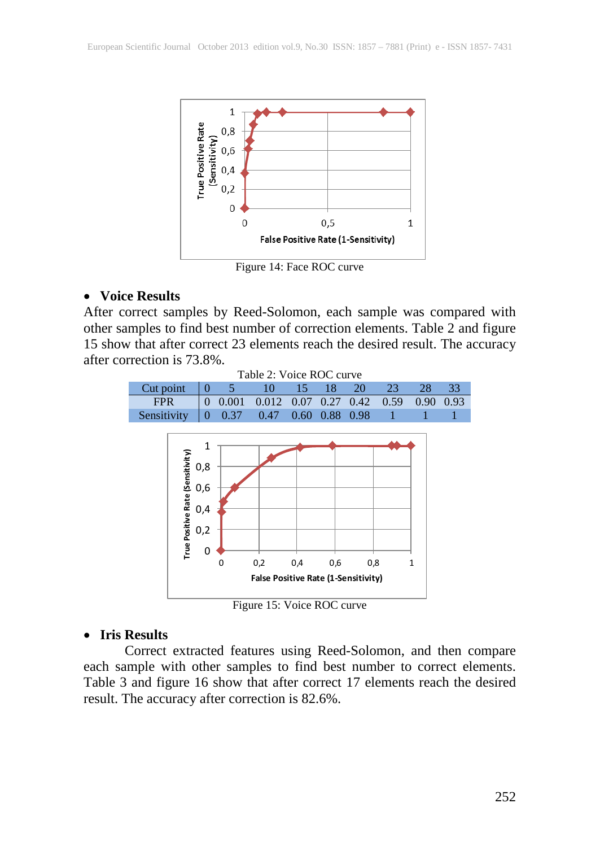

Figure 14: Face ROC curve

#### • **Voice Results**

After correct samples by Reed-Solomon, each sample was compared with other samples to find best number of correction elements. Table 2 and figure 15 show that after correct 23 elements reach the desired result. The accuracy after correction is 73.8%.



Figure 15: Voice ROC curve

#### • **Iris Results**

Correct extracted features using Reed-Solomon, and then compare each sample with other samples to find best number to correct elements. Table 3 and figure 16 show that after correct 17 elements reach the desired result. The accuracy after correction is 82.6%.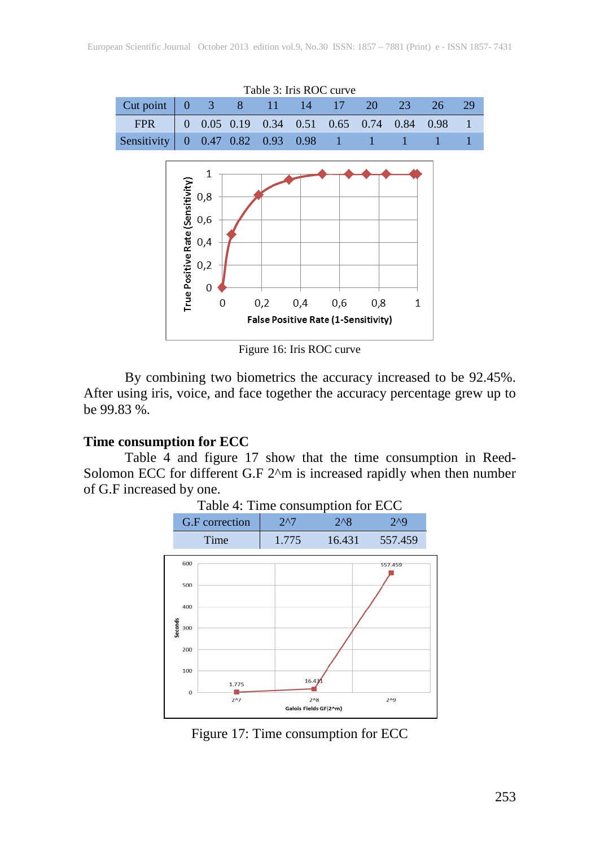

Figure 16: Iris ROC curve

By combining two biometrics the accuracy increased to be 92.45%. After using iris, voice, and face together the accuracy percentage grew up to be 99.83 %.

#### **Time consumption for ECC**

Table  $\overline{4}$  and figure 17 show that the time consumption in Reed-Solomon ECC for different G.F 2^m is increased rapidly when then number of G.F increased by one.



Figure 17: Time consumption for ECC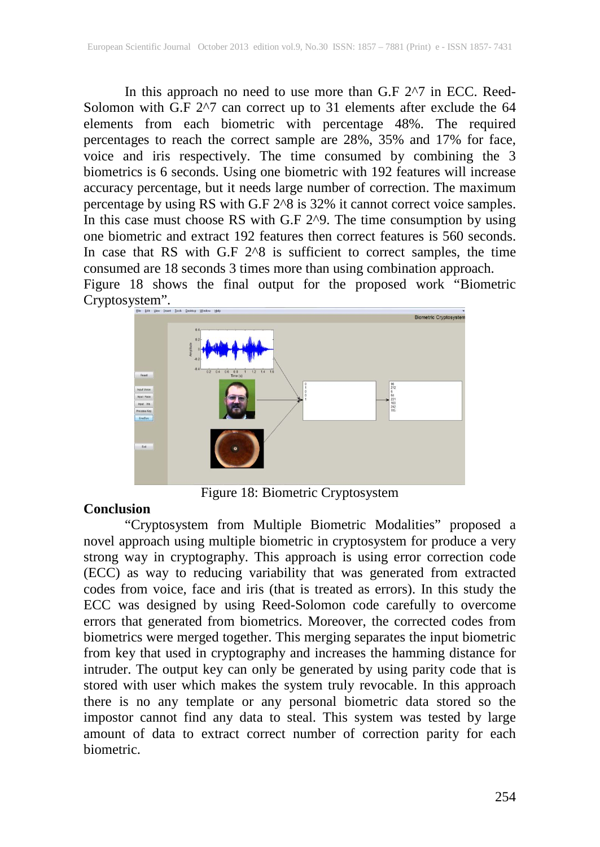In this approach no need to use more than G.F 2^7 in ECC. Reed-Solomon with G.F 2^7 can correct up to 31 elements after exclude the 64 elements from each biometric with percentage 48%. The required percentages to reach the correct sample are 28%, 35% and 17% for face, voice and iris respectively. The time consumed by combining the 3 biometrics is 6 seconds. Using one biometric with 192 features will increase accuracy percentage, but it needs large number of correction. The maximum percentage by using RS with G.F 2^8 is 32% it cannot correct voice samples. In this case must choose RS with G.F 2^9. The time consumption by using one biometric and extract 192 features then correct features is 560 seconds. In case that RS with G.F 2^8 is sufficient to correct samples, the time consumed are 18 seconds 3 times more than using combination approach. Figure 18 shows the final output for the proposed work "Biometric



Figure 18: Biometric Cryptosystem

# **Conclusion**

"Cryptosystem from Multiple Biometric Modalities" proposed a novel approach using multiple biometric in cryptosystem for produce a very strong way in cryptography. This approach is using error correction code (ECC) as way to reducing variability that was generated from extracted codes from voice, face and iris (that is treated as errors). In this study the ECC was designed by using Reed-Solomon code carefully to overcome errors that generated from biometrics. Moreover, the corrected codes from biometrics were merged together. This merging separates the input biometric from key that used in cryptography and increases the hamming distance for intruder. The output key can only be generated by using parity code that is stored with user which makes the system truly revocable. In this approach there is no any template or any personal biometric data stored so the impostor cannot find any data to steal. This system was tested by large amount of data to extract correct number of correction parity for each biometric.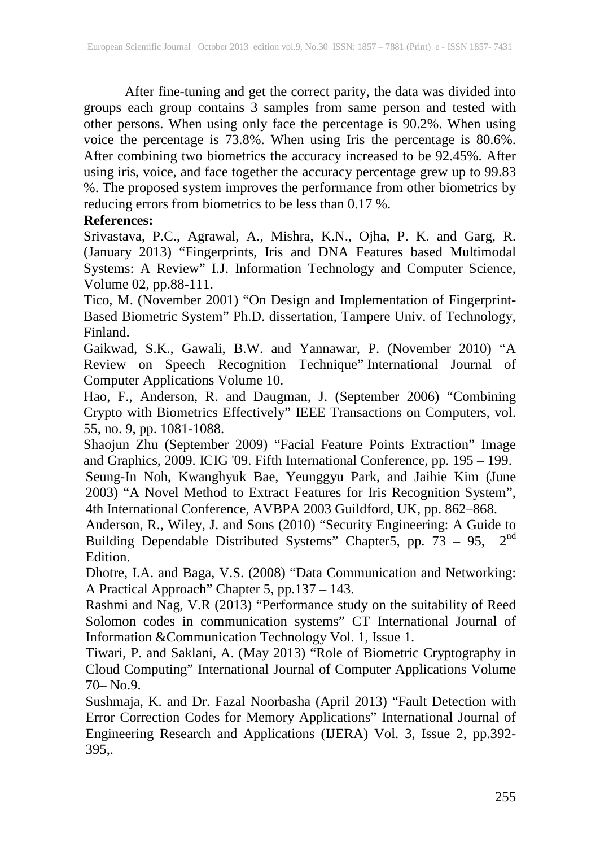After fine-tuning and get the correct parity, the data was divided into groups each group contains 3 samples from same person and tested with other persons. When using only face the percentage is 90.2%. When using voice the percentage is 73.8%. When using Iris the percentage is 80.6%. After combining two biometrics the accuracy increased to be 92.45%. After using iris, voice, and face together the accuracy percentage grew up to 99.83 %. The proposed system improves the performance from other biometrics by reducing errors from biometrics to be less than 0.17 %.

# **References:**

Srivastava, P.C., Agrawal, A., Mishra, K.N., Ojha, P. K. and Garg, R. (January 2013) "Fingerprints, Iris and DNA Features based Multimodal Systems: A Review" I.J. Information Technology and Computer Science, Volume 02, pp.88-111.

Tico, M. (November 2001) "On Design and Implementation of Fingerprint-Based Biometric System" Ph.D. dissertation, Tampere Univ. of Technology, Finland.

Gaikwad, S.K., Gawali, B.W. and Yannawar, P. (November 2010) "A Review on Speech Recognition Technique" International Journal of Computer Applications Volume 10.

Hao, F., Anderson, R. and Daugman, J. (September 2006) "Combining Crypto with Biometrics Effectively" IEEE Transactions on Computers, vol. 55, no. 9, pp. 1081-1088.

Shaojun Zhu (September 2009) "Facial Feature Points Extraction" Image and Graphics, 2009. ICIG '09. Fifth International Conference, pp. 195 – 199.

Seung-In Noh, Kwanghyuk Bae, Yeunggyu Park, and Jaihie Kim (June 2003) "A Novel Method to Extract Features for Iris Recognition System", 4th International Conference, AVBPA 2003 Guildford, UK, pp. 862–868.

Anderson, R., Wiley, J. and Sons (2010) "Security Engineering: A Guide to Building Dependable Distributed Systems" Chapter5, pp.  $73 - 95$ ,  $2<sup>nd</sup>$ Edition.

Dhotre, I.A. and Baga, V.S. (2008) "Data Communication and Networking: A Practical Approach" Chapter 5, pp.137 – 143.

Rashmi and Nag, V.R (2013) "Performance study on the suitability of Reed Solomon codes in communication systems" CT International Journal of Information &Communication Technology Vol. 1, Issue 1.

Tiwari, P. and Saklani, A. (May 2013) "Role of Biometric Cryptography in Cloud Computing" International Journal of Computer Applications Volume 70– No.9.

Sushmaja, K. and Dr. Fazal Noorbasha (April 2013) "Fault Detection with Error Correction Codes for Memory Applications" International Journal of Engineering Research and Applications (IJERA) Vol. 3, Issue 2, pp.392- 395,.